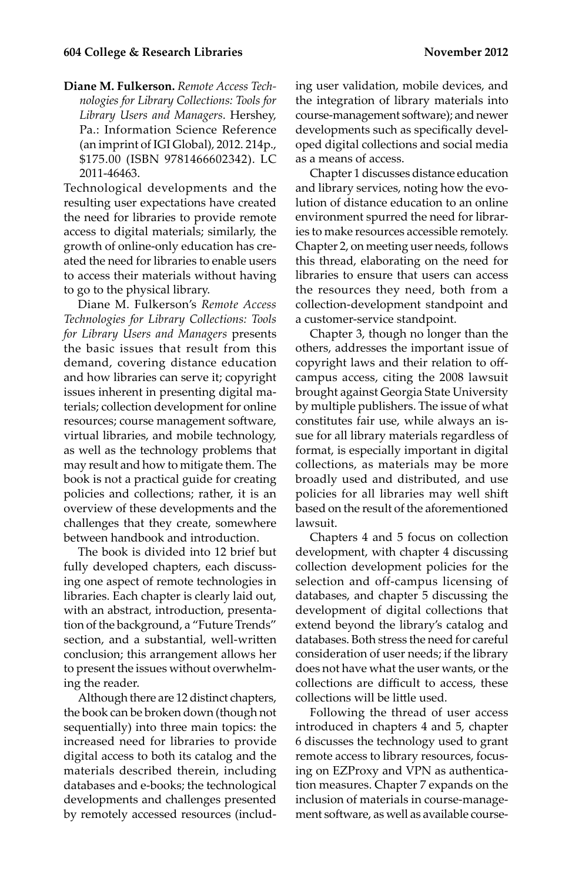**Diane M. Fulkerson.** *Remote Access Technologies for Library Collections: Tools for Library Users and Managers*. Hershey, Pa.: Information Science Reference (an imprint of IGI Global), 2012. 214p., \$175.00 (ISBN 9781466602342). LC 2011-46463.

Technological developments and the resulting user expectations have created the need for libraries to provide remote access to digital materials; similarly, the growth of online-only education has created the need for libraries to enable users to access their materials without having to go to the physical library.

Diane M. Fulkerson's *Remote Access Technologies for Library Collections: Tools for Library Users and Managers* presents the basic issues that result from this demand, covering distance education and how libraries can serve it; copyright issues inherent in presenting digital materials; collection development for online resources; course management software, virtual libraries, and mobile technology, as well as the technology problems that may result and how to mitigate them. The book is not a practical guide for creating policies and collections; rather, it is an overview of these developments and the challenges that they create, somewhere between handbook and introduction.

The book is divided into 12 brief but fully developed chapters, each discussing one aspect of remote technologies in libraries. Each chapter is clearly laid out, with an abstract, introduction, presentation of the background, a "Future Trends" section, and a substantial, well-written conclusion; this arrangement allows her to present the issues without overwhelming the reader.

Although there are 12 distinct chapters, the book can be broken down (though not sequentially) into three main topics: the increased need for libraries to provide digital access to both its catalog and the materials described therein, including databases and e-books; the technological developments and challenges presented by remotely accessed resources (including user validation, mobile devices, and the integration of library materials into course-management software); and newer developments such as specifically developed digital collections and social media as a means of access.

Chapter 1 discusses distance education and library services, noting how the evolution of distance education to an online environment spurred the need for libraries to make resources accessible remotely. Chapter 2, on meeting user needs, follows this thread, elaborating on the need for libraries to ensure that users can access the resources they need, both from a collection-development standpoint and a customer-service standpoint.

Chapter 3, though no longer than the others, addresses the important issue of copyright laws and their relation to offcampus access, citing the 2008 lawsuit brought against Georgia State University by multiple publishers. The issue of what constitutes fair use, while always an issue for all library materials regardless of format, is especially important in digital collections, as materials may be more broadly used and distributed, and use policies for all libraries may well shift based on the result of the aforementioned lawsuit.

Chapters 4 and 5 focus on collection development, with chapter 4 discussing collection development policies for the selection and off-campus licensing of databases, and chapter 5 discussing the development of digital collections that extend beyond the library's catalog and databases. Both stress the need for careful consideration of user needs; if the library does not have what the user wants, or the collections are difficult to access, these collections will be little used.

Following the thread of user access introduced in chapters 4 and 5, chapter 6 discusses the technology used to grant remote access to library resources, focusing on EZProxy and VPN as authentication measures. Chapter 7 expands on the inclusion of materials in course-management software, as well as available course